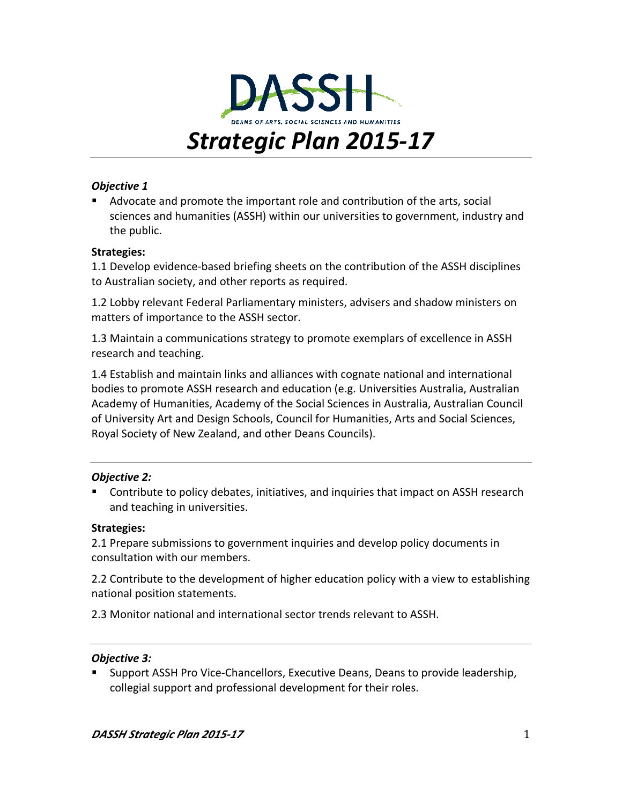

### **Objective 1**

■ Advocate and promote the important role and contribution of the arts, social sciences and humanities (ASSH) within our universities to government, industry and the public.

### **Strategies:**

1.1 Develop evidence-based briefing sheets on the contribution of the ASSH disciplines to Australian society, and other reports as required.

1.2 Lobby relevant Federal Parliamentary ministers, advisers and shadow ministers on matters of importance to the ASSH sector.

1.3 Maintain a communications strategy to promote exemplars of excellence in ASSH research and teaching.

1.4 Establish and maintain links and alliances with cognate national and international bodies to promote ASSH research and education (e.g. Universities Australia, Australian Academy of Humanities, Academy of the Social Sciences in Australia, Australian Council of University Art and Design Schools, Council for Humanities, Arts and Social Sciences, Royal Society of New Zealand, and other Deans Councils).

### **Objective 2:**

Contribute to policy debates, initiatives, and inquiries that impact on ASSH research and teaching in universities.

### **Strategies:**

2.1 Prepare submissions to government inquiries and develop policy documents in consultation with our members.

2.2 Contribute to the development of higher education policy with a view to establishing national position statements.

2.3 Monitor national and international sector trends relevant to ASSH.

### *Objective 3:*

Support ASSH Pro Vice-Chancellors, Executive Deans, Deans to provide leadership, collegial support and professional development for their roles.